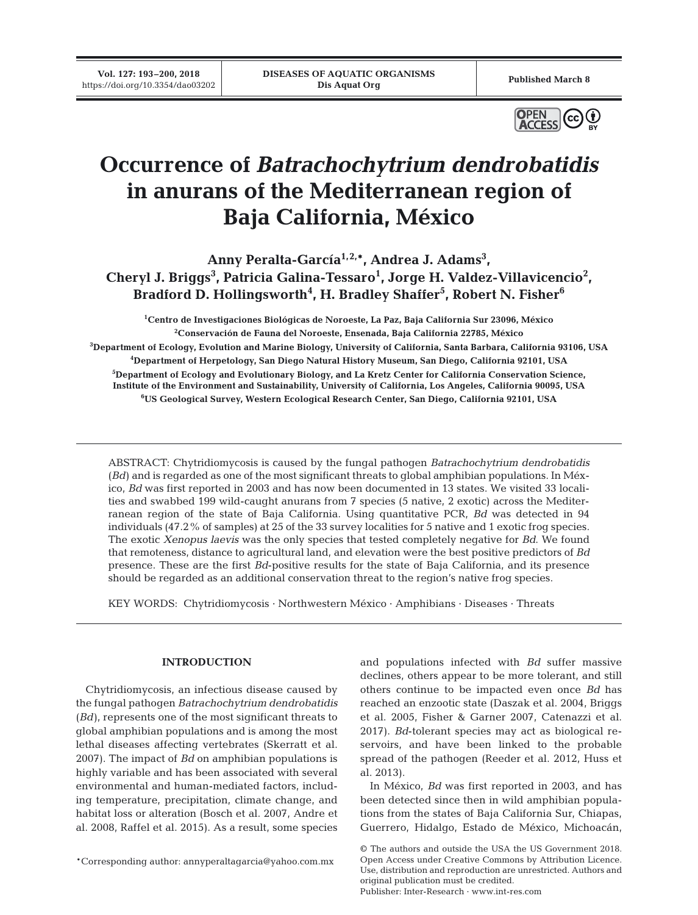**Vol. 127: 193–200, 2018**



# **Occurrence of** *Batrachochytrium dendrobatidis* **in anurans of the Mediterranean region of Baja California, México**

**Anny Peralta-García1,2,\*, Andrea J. Adams3 ,** Cheryl J. Briggs<sup>3</sup>, Patricia Galina-Tessaro<sup>1</sup>, Jorge H. Valdez-Villavicencio<sup>2</sup>, Bradford D. Hollingsworth<sup>4</sup>, H. Bradley Shaffer<sup>5</sup>, Robert N. Fisher $^6$ 

 **Centro de Investigaciones Biológicas de Noroeste, La Paz, Baja California Sur 23096, México Conservación de Fauna del Noroeste, Ensenada, Baja California 22785, México Department of Ecology, Evolution and Marine Biology, University of California, Santa Barbara, California 93106, USA Department of Herpetology, San Diego Natural History Museum, San Diego, California 92101, USA Department of Ecology and Evolutionary Biology, and La Kretz Center for California Conservation Science, Institute of the Environment and Sustainability, University of California, Los Angeles, California 90095, USA US Geological Survey, Western Ecological Research Center, San Diego, California 92101, USA**

ABSTRACT: Chytridiomycosis is caused by the fungal pathogen *Batrachochytrium dendrobatidis* (*Bd*) and is regarded as one of the most significant threats to global amphibian populations. In México, *Bd* was first reported in 2003 and has now been documented in 13 states. We visited 33 localities and swabbed 199 wild-caught anurans from 7 species (5 native, 2 exotic) across the Mediterranean region of the state of Baja California. Using quantitative PCR, *Bd* was detected in 94 individuals (47.2% of samples) at 25 of the 33 survey localities for 5 native and 1 exotic frog species. The exotic *Xenopus laevis* was the only species that tested completely negative for *Bd*. We found that remoteness, distance to agricultural land, and elevation were the best positive predictors of *Bd* presence. These are the first *Bd*-positive results for the state of Baja California, and its presence should be regarded as an additional conservation threat to the region's native frog species.

KEY WORDS: Chytridiomycosis · Northwestern México · Amphibians · Diseases · Threats

# **INTRODUCTION**

Chytridiomycosis, an infectious disease caused by the fungal pathogen *Batrachochytrium dendrobatidis* (*Bd*), represents one of the most significant threats to global amphibian populations and is among the most lethal diseases affecting vertebrates (Skerratt et al. 2007). The impact of *Bd* on amphibian populations is highly variable and has been associated with several environmental and human-mediated factors, including temperature, precipitation, climate change, and habitat loss or alteration (Bosch et al. 2007, Andre et al. 2008, Raffel et al. 2015). As a result, some species

\*Corresponding author: annyperaltagarcia@yahoo.com.mx

and populations infected with *Bd* suffer massive declines, others appear to be more tolerant, and still others continue to be impacted even once *Bd* has reached an enzootic state (Daszak et al. 2004, Briggs et al. 2005, Fisher & Garner 2007, Catenazzi et al. 2017). *Bd*-tolerant species may act as biological reservoirs, and have been linked to the probable spread of the pathogen (Reeder et al. 2012, Huss et al. 2013).

In México, *Bd* was first reported in 2003, and has been detected since then in wild amphibian populations from the states of Baja California Sur, Chiapas, Guerrero, Hidalgo, Estado de México, Michoacán,

Publisher: Inter-Research · www.int-res.com

<sup>©</sup> The authors and outside the USA the US Government 2018. Open Access under Creative Commons by Attribution Licence. Use, distribution and reproduction are unrestricted. Authors and original publication must be credited.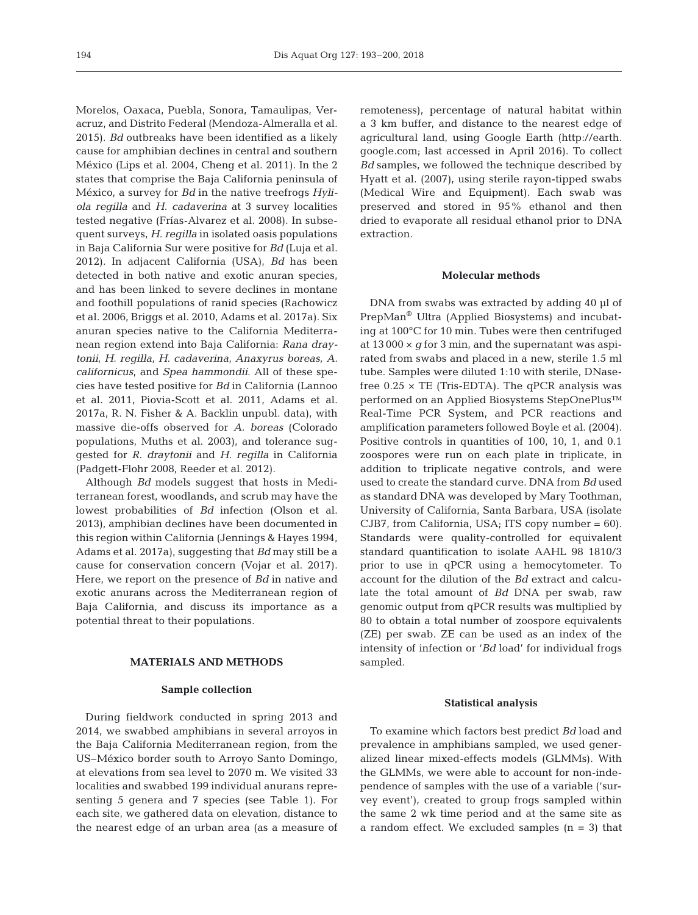Morelos, Oaxaca, Puebla, Sonora, Tamaulipas, Veracruz, and Distrito Federal (Mendoza-Almeralla et al. 2015). *Bd* outbreaks have been identified as a likely cause for amphibian declines in central and southern México (Lips et al. 2004, Cheng et al. 2011). In the 2 states that comprise the Baja California peninsula of México, a survey for *Bd* in the native treefrogs *Hyliola regilla* and *H. cadaverina* at 3 survey localities tested negative (Frías-Alvarez et al. 2008). In subsequent surveys, *H. regilla* in isolated oasis populations in Baja California Sur were positive for *Bd* (Luja et al. 2012). In adjacent California (USA), *Bd* has been detected in both native and exotic anuran species, and has been linked to severe declines in montane and foothill populations of ranid species (Rachowicz et al. 2006, Briggs et al. 2010, Adams et al. 2017a). Six anuran species native to the California Mediterranean region extend into Baja California: *Rana draytonii*, *H. regilla*, *H. cadaverina*, *Anaxyrus boreas*, *A. californicus*, and *Spea hammondii*. All of these species have tested positive for *Bd* in California (Lannoo et al. 2011, Piovia-Scott et al. 2011, Adams et al. 2017a, R. N. Fisher & A. Backlin unpubl. data), with massive die-offs observed for *A. boreas* (Colorado populations, Muths et al. 2003), and tolerance suggested for *R. draytonii* and *H. regilla* in California (Padgett-Flohr 2008, Reeder et al. 2012).

Although *Bd* models suggest that hosts in Mediterranean forest, woodlands, and scrub may have the lowest probabilities of *Bd* infection (Olson et al. 2013), amphibian declines have been documented in this region within California (Jennings & Hayes 1994, Adams et al. 2017a), suggesting that *Bd* may still be a cause for conservation concern (Vojar et al. 2017). Here, we report on the presence of *Bd* in native and exotic anurans across the Mediterranean region of Baja California, and discuss its importance as a potential threat to their populations.

# **MATERIALS AND METHODS**

#### **Sample collection**

During fieldwork conducted in spring 2013 and 2014, we swabbed amphibians in several arroyos in the Baja California Mediterranean region, from the US−México border south to Arroyo Santo Domingo, at elevations from sea level to 2070 m. We visited 33 localities and swabbed 199 individual anurans representing 5 genera and 7 species (see Table 1). For each site, we gathered data on elevation, distance to the nearest edge of an urban area (as a measure of remoteness), percentage of natural habitat within a 3 km buffer, and distance to the nearest edge of agricultural land, using Google Earth (http://earth. google. com; last accessed in April 2016). To collect *Bd* samples, we followed the technique described by Hyatt et al. (2007), using sterile rayon-tipped swabs (Medical Wire and Equipment). Each swab was preserved and stored in 95% ethanol and then dried to evaporate all residual ethanol prior to DNA extraction.

## **Molecular methods**

DNA from swabs was extracted by adding 40 µl of PrepMan® Ultra (Applied Biosystems) and incubating at 100°C for 10 min. Tubes were then centrifuged at  $13000 \times g$  for 3 min, and the supernatant was aspirated from swabs and placed in a new, sterile 1.5 ml tube. Samples were diluted 1:10 with sterile, DNasefree  $0.25 \times$  TE (Tris-EDTA). The qPCR analysis was performed on an Applied Biosystems StepOnePlus™ Real-Time PCR System, and PCR reactions and amplification parameters followed Boyle et al. (2004). Positive controls in quantities of 100, 10, 1, and 0.1 zoospores were run on each plate in triplicate, in addition to triplicate negative controls, and were used to create the standard curve. DNA from *Bd* used as standard DNA was developed by Mary Toothman, University of California, Santa Barbara, USA (isolate CJB7, from California, USA; ITS copy number = 60). Standards were quality-controlled for equivalent standard quantification to isolate AAHL 98 1810/3 prior to use in qPCR using a hemocytometer. To account for the dilution of the *Bd* extract and calculate the total amount of *Bd* DNA per swab, raw genomic output from qPCR results was multiplied by 80 to obtain a total number of zoospore equivalents (ZE) per swab. ZE can be used as an index of the intensity of infection or '*Bd* load' for individual frogs sampled.

### **Statistical analysis**

To examine which factors best predict *Bd* load and prevalence in amphibians sampled, we used generalized linear mixed-effects models (GLMMs). With the GLMMs, we were able to account for non-independence of samples with the use of a variable ('survey event'), created to group frogs sampled within the same 2 wk time period and at the same site as a random effect. We excluded samples  $(n = 3)$  that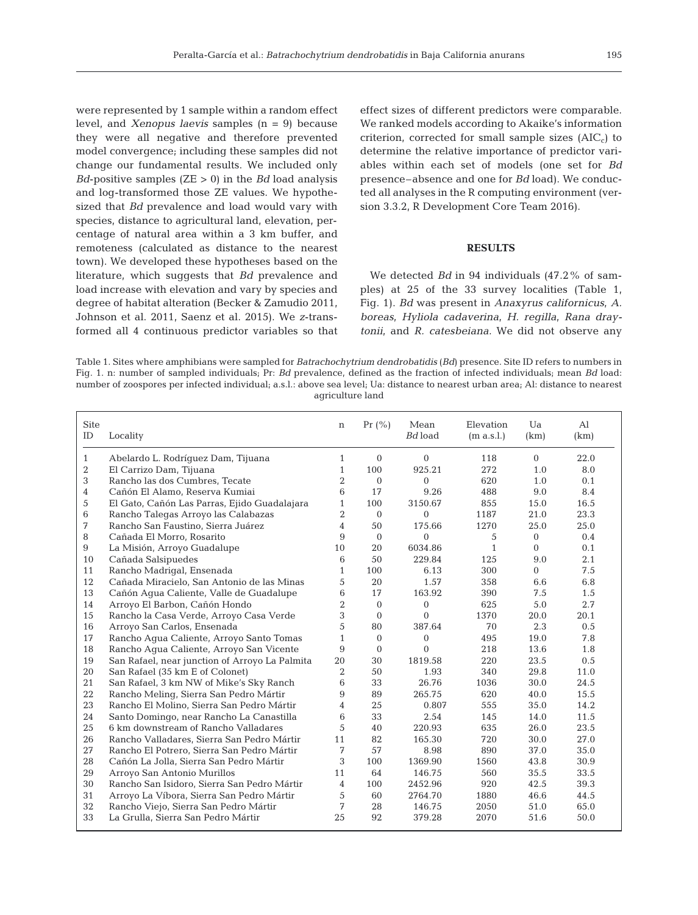were represented by 1 sample within a random effect level, and *Xenopus laevis* samples (n = 9) because they were all negative and therefore prevented model convergence; including these samples did not change our fundamental results. We included only *Bd*-positive samples  $(ZE > 0)$  in the *Bd* load analysis and log-transformed those ZE values. We hypothesized that *Bd* prevalence and load would vary with species, distance to agricultural land, elevation, percentage of natural area within a 3 km buffer, and remoteness (calculated as distance to the nearest town). We developed these hypotheses based on the literature, which suggests that *Bd* prevalence and load increase with elevation and vary by species and degree of habitat alteration (Becker & Zamudio 2011, Johnson et al. 2011, Saenz et al. 2015). We *z*-transformed all 4 continuous predictor variables so that effect sizes of different predictors were comparable. We ranked models according to Akaike's information criterion, corrected for small sample sizes  $(AIC<sub>c</sub>)$  to determine the relative importance of predictor variables within each set of models (one set for *Bd* presence-absence and one for *Bd* load). We conducted all analyses in the R computing environment (version 3.3.2, R Development Core Team 2016).

# **RESULTS**

We detected *Bd* in 94 individuals (47.2% of samples) at 25 of the 33 survey localities (Table 1, Fig. 1). *Bd* was present in *Anaxyrus californicus*, *A. boreas*, *Hyliola cadaverina*, *H. regilla*, *Rana draytonii*, and *R. catesbeiana.* We did not observe any

Table 1. Sites where amphibians were sampled for *Batrachochytrium dendrobatidis* (*Bd*) presence. Site ID refers to numbers in Fig. 1. n: number of sampled individuals; Pr: *Bd* prevalence, defined as the fraction of infected individuals; mean *Bd* load: number of zoospores per infected individual; a.s.l.: above sea level; Ua: distance to nearest urban area; Al: distance to nearest agriculture land

| <b>Site</b>    |                                                | n              | Pr(%           | Mean           | Elevation    | Ua             | $\mathsf{A}1$ |
|----------------|------------------------------------------------|----------------|----------------|----------------|--------------|----------------|---------------|
| ID             | Locality                                       |                |                | Bd load        | (m a.s.l.)   | (km)           | (km)          |
| $\mathbf{1}$   | Abelardo L. Rodríguez Dam, Tijuana             | $\mathbf{1}$   | $\Omega$       | $\Omega$       | 118          | $\Omega$       | 22.0          |
| $\overline{2}$ | El Carrizo Dam, Tijuana                        | $\mathbf{1}$   | 100            | 925.21         | 272          | 1.0            | 8.0           |
| 3              | Rancho las dos Cumbres, Tecate                 | $\overline{2}$ | $\overline{0}$ | $\Omega$       | 620          | 1.0            | 0.1           |
| 4              | Cañón El Alamo, Reserva Kumiai                 | 6              | 17             | 9.26           | 488          | 9.0            | 8.4           |
| 5              | El Gato, Cañón Las Parras, Ejido Guadalajara   | $\mathbf{1}$   | 100            | 3150.67        | 855          | 15.0           | 16.5          |
| 6              | Rancho Talegas Arroyo las Calabazas            | $\overline{2}$ | $\Omega$       | $\Omega$       | 1187         | 21.0           | 23.3          |
| 7              | Rancho San Faustino, Sierra Juárez             | 4              | 50             | 175.66         | 1270         | 25.0           | 25.0          |
| 8              | Cañada El Morro, Rosarito                      | 9              | $\mathbf{0}$   | $\overline{0}$ | 5            | $\overline{0}$ | 0.4           |
| 9              | La Misión, Arroyo Guadalupe                    | 10             | 20             | 6034.86        | $\mathbf{1}$ | $\Omega$       | 0.1           |
| 10             | Cañada Salsipuedes                             | 6              | 50             | 229.84         | 125          | 9.0            | 2.1           |
| 11             | Rancho Madrigal, Ensenada                      | $\mathbf{1}$   | 100            | 6.13           | 300          | $\Omega$       | 7.5           |
| 12             | Cañada Miracielo, San Antonio de las Minas     | 5              | 20             | 1.57           | 358          | 6.6            | 6.8           |
| 13             | Cañón Aqua Caliente, Valle de Guadalupe        | 6              | 17             | 163.92         | 390          | 7.5            | 1.5           |
| 14             | Arroyo El Barbon, Cañón Hondo                  | $\overline{2}$ | $\overline{0}$ | $\overline{0}$ | 625          | 5.0            | 2.7           |
| 15             | Rancho la Casa Verde, Arroyo Casa Verde        | 3              | $\Omega$       | $\theta$       | 1370         | 20.0           | 20.1          |
| 16             | Arroyo San Carlos, Ensenada                    | 5              | 80             | 387.64         | 70           | 2.3            | 0.5           |
| 17             | Rancho Aqua Caliente, Arroyo Santo Tomas       | $\mathbf{1}$   | $\overline{0}$ | $\overline{0}$ | 495          | 19.0           | 7.8           |
| 18             | Rancho Aqua Caliente, Arroyo San Vicente       | 9              | $\Omega$       | $\Omega$       | 218          | 13.6           | 1.8           |
| 19             | San Rafael, near junction of Arroyo La Palmita | 20             | 30             | 1819.58        | 220          | 23.5           | 0.5           |
| 20             | San Rafael (35 km E of Colonet)                | 2              | 50             | 1.93           | 340          | 29.8           | 11.0          |
| 21             | San Rafael, 3 km NW of Mike's Sky Ranch        | 6              | 33             | 26.76          | 1036         | 30.0           | 24.5          |
| 22             | Rancho Meling, Sierra San Pedro Mártir         | 9              | 89             | 265.75         | 620          | 40.0           | 15.5          |
| 23             | Rancho El Molino, Sierra San Pedro Mártir      | 4              | 25             | 0.807          | 555          | 35.0           | 14.2          |
| 24             | Santo Domingo, near Rancho La Canastilla       | 6              | 33             | 2.54           | 145          | 14.0           | 11.5          |
| 25             | 6 km downstream of Rancho Valladares           | 5              | 40             | 220.93         | 635          | 26.0           | 23.5          |
| 26             | Rancho Valladares, Sierra San Pedro Mártir     | 11             | 82             | 165.30         | 720          | 30.0           | 27.0          |
| 27             | Rancho El Potrero, Sierra San Pedro Mártir     | 7              | 57             | 8.98           | 890          | 37.0           | 35.0          |
| 28             | Cañón La Jolla, Sierra San Pedro Mártir        | 3              | 100            | 1369.90        | 1560         | 43.8           | 30.9          |
| 29             | Arroyo San Antonio Murillos                    | 11             | 64             | 146.75         | 560          | 35.5           | 33.5          |
| 30             | Rancho San Isidoro, Sierra San Pedro Mártir    | $\overline{4}$ | 100            | 2452.96        | 920          | 42.5           | 39.3          |
| 31             | Arroyo La Víbora, Sierra San Pedro Mártir      | 5              | 60             | 2764.70        | 1880         | 46.6           | 44.5          |
| 32             | Rancho Viejo, Sierra San Pedro Mártir          | 7              | 28             | 146.75         | 2050         | 51.0           | 65.0          |
| 33             | La Grulla, Sierra San Pedro Mártir             | 25             | 92             | 379.28         | 2070         | 51.6           | 50.0          |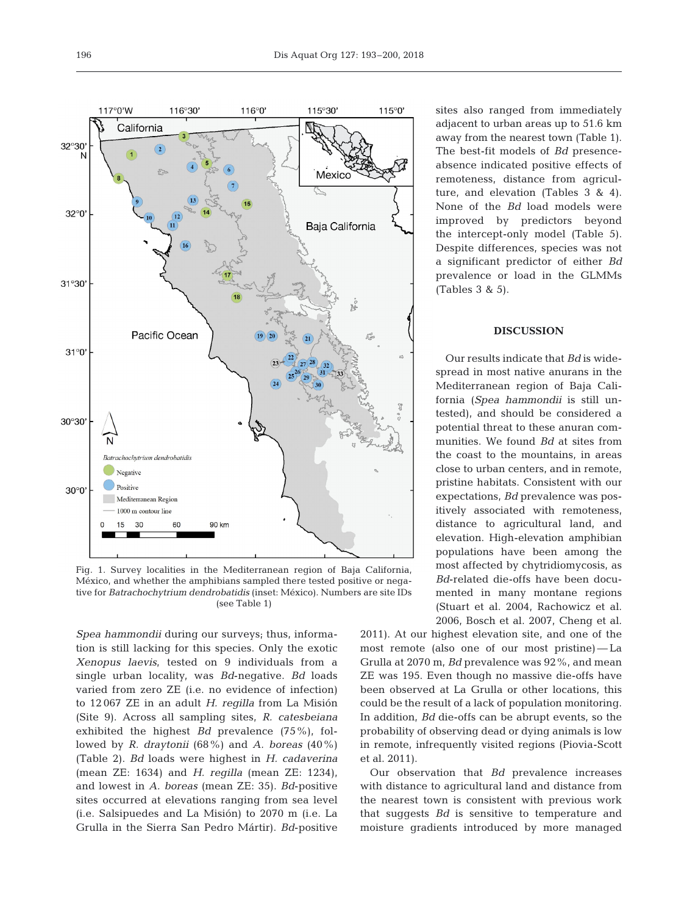

Fig. 1. Survey localities in the Mediterranean region of Baja California, México, and whether the amphibians sampled there tested positive or negative for *Batrachochytrium dendrobatidis* (inset: México). Numbers are site IDs (see Table 1)

*Spea hammondii* during our surveys; thus, information is still lacking for this species. Only the exotic *Xenopus laevis*, tested on 9 individuals from a single urban locality, was *Bd*-negative. *Bd* loads varied from zero ZE (i.e. no evidence of infection) to 12 067 ZE in an adult *H. regilla* from La Misión (Site 9). Across all sampling sites, *R. catesbeiana* exhibited the highest *Bd* prevalence (75%), followed by *R. draytonii* (68%) and *A. boreas* (40%) (Table 2). *Bd* loads were highest in *H. cadaverina* (mean ZE: 1634) and *H. regilla* (mean ZE: 1234), and lowest in *A. boreas* (mean ZE: 35). *Bd*-positive sites occurred at elevations ranging from sea level (i.e. Salsipuedes and La Misión) to 2070 m (i.e. La Grulla in the Sierra San Pedro Mártir). *Bd*-positive

sites also ranged from immediately adjacent to urban areas up to 51.6 km away from the nearest town (Table 1). The best-fit models of *Bd* presenceabsence indicated positive effects of remoteness, distance from agriculture, and elevation (Tables 3 & 4). None of the *Bd* load models were improved by predictors beyond the intercept-only model (Table 5). Despite differences, species was not a significant predictor of either *Bd* prevalence or load in the GLMMs (Tables 3 & 5).

# **DISCUSSION**

Our results indicate that *Bd* is widespread in most native anurans in the Mediterranean region of Baja California (*Spea hammondii* is still un tested), and should be considered a potential threat to these anuran communities. We found *Bd* at sites from the coast to the mountains, in areas close to urban centers, and in remote, pristine habitats. Consistent with our ex pectations, *Bd* prevalence was positively associated with remoteness, distance to agricultural land, and elevation. High-elevation amphibian populations have been among the most affected by chytridiomycosis, as *Bd*-related die-offs have been documented in many montane regions (Stuart et al. 2004, Rachowicz et al. 2006, Bosch et al. 2007, Cheng et al.

2011). At our highest elevation site, and one of the most remote (also one of our most pristine) — La Grulla at 2070 m, *Bd* prevalence was 92%, and mean ZE was 195. Even though no massive die-offs have been ob served at La Grulla or other locations, this could be the result of a lack of population monitoring. In addition, *Bd* die-offs can be abrupt events, so the probability of observing dead or dying animals is low in remote, infrequently visited regions (Piovia-Scott et al. 2011).

Our observation that *Bd* prevalence increases with distance to agricultural land and distance from the nearest town is consistent with previous work that suggests *Bd* is sensitive to temperature and moisture gradients introduced by more managed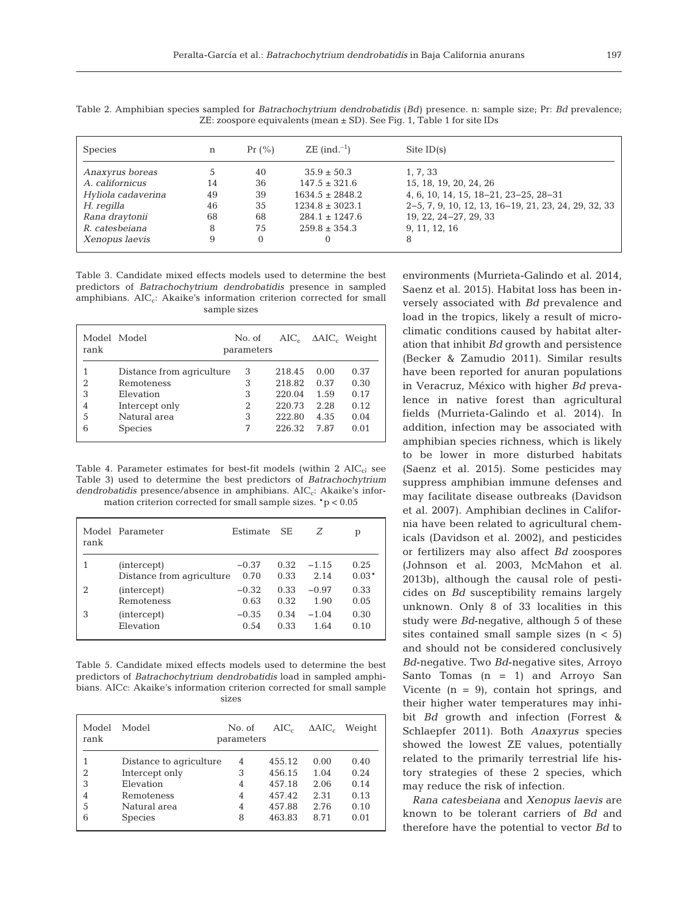| <b>Species</b>     | n  | Pr(% ) | $ZE$ (ind. <sup>-1</sup> ) | Site $ID(s)$                                         |
|--------------------|----|--------|----------------------------|------------------------------------------------------|
| Anaxyrus boreas    | 5  | 40     | $35.9 \pm 50.3$            | 1, 7, 33                                             |
| A. californicus    | 14 | 36     | $147.5 \pm 321.6$          | 15, 18, 19, 20, 24, 26                               |
| Hyliola cadaverina | 49 | 39     | $1634.5 \pm 2848.2$        | 4, 6, 10, 14, 15, 18-21, 23-25, 28-31                |
| H. regilla         | 46 | 35     | $1234.8 \pm 3023.1$        | 2-5, 7, 9, 10, 12, 13, 16-19, 21, 23, 24, 29, 32, 33 |
| Rana draytonii     | 68 | 68     | $284.1 \pm 1247.6$         | 19, 22, 24-27, 29, 33                                |
| R. catesbeiana     | 8  | 75     | $259.8 \pm 354.3$          | 9, 11, 12, 16                                        |
| Xenopus laevis     | 9  |        | 0                          | 8                                                    |

Table 2. Amphibian species sampled for *Batrachochytrium dendrobatidis* (*Bd*) presence. n: sample size; Pr: *Bd* pre valence; ZE: zoospore equivalents (mean ± SD). See Fig. 1, Table 1 for site IDs

Table 3. Candidate mixed effects models used to determine the best predictors of *Batrachochytrium dendrobatidis* presence in sampled amphibians.  $AIC_c$ : Akaike's information criterion corrected for small sample sizes

| rank | Model Model               | No. of<br>parameters | $AIC_{c}$ |      | $\Delta AIC_c$ Weight |
|------|---------------------------|----------------------|-----------|------|-----------------------|
|      | Distance from agriculture | 3                    | 218.45    | 0.00 | 0.37                  |
| 2    | Remoteness                | 3                    | 218.82    | 0.37 | 0.30                  |
| 3    | Elevation                 | 3                    | 220.04    | 1.59 | 0.17                  |
| 4    | Intercept only            | 2                    | 220.73    | 2.28 | 0.12                  |
| 5    | Natural area              | 3                    | 222.80    | 4.35 | 0.04                  |
| 6    | <b>Species</b>            | 7                    | 226.32    | 7.87 | 0.01                  |

Table 4. Parameter estimates for best-fit models (within 2  $AIC_{ci}$  see Table 3) used to determine the best predictors of *Batrachochytrium dendrobatidis* presence/absence in amphibians. AIC<sub>c</sub>: Akaike's information criterion corrected for small sample sizes. \*p < 0.05

| rank | Model Parameter           | Estimate | -SE  | Ζ       | р       |
|------|---------------------------|----------|------|---------|---------|
|      | (intercept)               | $-0.37$  | 0.32 | $-1.15$ | 0.25    |
|      | Distance from agriculture | 0.70     | 0.33 | 2.14    | $0.03*$ |
| 2    | (intercept)               | $-0.32$  | 0.33 | $-0.97$ | 0.33    |
|      | Remoteness                | 0.63     | 0.32 | 1.90    | 0.05    |
| 3    | (intercept)               | $-0.35$  | 0.34 | $-1.04$ | 0.30    |
|      | Elevation                 | 0.54     | 0.33 | 1.64    | 0.10    |

Table 5. Candidate mixed effects models used to determine the best predictors of *Batrachochytrium dendrobatidis* load in sampled amphibians. AICc: Akaike's information criterion corrected for small sample sizes

| Model<br>rank  | Model                   | No. of<br>parameters | $AIC_{c}$ | $\triangle AIC_c$ | Weight |
|----------------|-------------------------|----------------------|-----------|-------------------|--------|
| 1              | Distance to agriculture | 4                    | 455.12    | 0.00              | 0.40   |
| 2              | Intercept only          | 3                    | 456.15    | 1.04              | 0.24   |
| 3              | Elevation               | 4                    | 457.18    | 2.06              | 0.14   |
| $\overline{4}$ | Remoteness              | 4                    | 457.42    | 2.31              | 0.13   |
| 5              | Natural area            | 4                    | 457.88    | 2.76              | 0.10   |
| 6              | <b>Species</b>          | 8                    | 463.83    | 8.71              | 0.01   |

environments (Murrieta-Galindo et al. 2014, Saenz et al. 2015). Habitat loss has been in versely associated with *Bd* prevalence and load in the tropics, likely a result of microclimatic conditions caused by habitat alteration that inhibit *Bd* growth and persistence (Becker & Zamudio 2011). Similar results have been reported for anuran populations in Veracruz, México with higher *Bd* prevalence in native forest than agricultural fields (Murrieta-Galindo et al. 2014). In addition, infection may be associated with amphibian species richness, which is likely to be lower in more disturbed habitats (Saenz et al. 2015). Some pesticides may suppress amphibian immune defenses and may facilitate disease outbreaks (Davidson et al. 2007). Amphibian declines in California have been related to agricultural chemicals (Davidson et al. 2002), and pesticides or fertilizers may also affect *Bd* zoospores (Johnson et al. 2003, McMahon et al. 2013b), although the causal role of pesticides on *Bd* susceptibility remains largely unknown. Only 8 of 33 localities in this study were *Bd*-negative, although 5 of these sites contained small sample sizes  $(n < 5)$ and should not be considered conclusively *Bd*-negative. Two *Bd*-negative sites, Arroyo Santo Tomas (n = 1) and Arroyo San Vicente  $(n = 9)$ , contain hot springs, and their higher water temperatures may inhibit *Bd* growth and infection (Forrest & Schlaepfer 2011). Both *Anaxyrus* species showed the lowest ZE values, potentially related to the primarily terrestrial life history strategies of these 2 species, which may reduce the risk of infection.

*Rana catesbeiana* and *Xenopus laevis* are known to be tolerant carriers of *Bd* and therefore have the potential to vector *Bd* to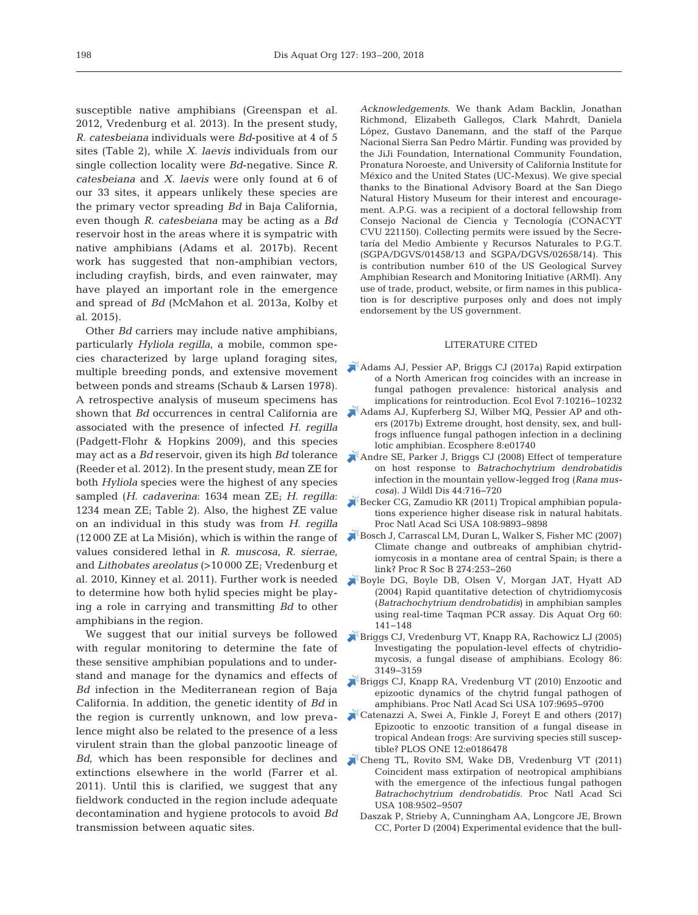susceptible native amphibians (Greenspan et al. 2012, Vredenburg et al. 2013). In the present study, *R. catesbeiana* individuals were *Bd*-positive at 4 of 5 sites (Table 2), while *X. laevis* individuals from our single collection locality were *Bd*-negative. Since *R. catesbeiana* and *X. laevis* were only found at 6 of our 33 sites, it appears unlikely these species are the primary vector spreading *Bd* in Baja California, even though *R. catesbeiana* may be acting as a *Bd* reservoir host in the areas where it is sympatric with native amphibians (Adams et al. 2017b). Recent work has suggested that non-amphibian vectors, including crayfish, birds, and even rainwater, may have played an important role in the emergence and spread of *Bd* (McMahon et al. 2013a, Kolby et al. 2015).

Other *Bd* carriers may include native amphibians, particularly *Hyliola regilla*, a mobile, common species characterized by large upland foraging sites, multiple breeding ponds, and extensive movement between ponds and streams (Schaub & Larsen 1978). A retrospective analysis of museum specimens has shown that *Bd* occurrences in central California are associated with the presence of infected *H. regilla* (Padgett-Flohr & Hopkins 2009), and this species may act as a *Bd* reservoir, given its high *Bd* tolerance [Andre SE, Parker J, Briggs CJ \(2008\) Effect of temperature](https://doi.org/10.7589/0090-3558-44.3.716) (Reeder et al. 2012). In the present study, mean ZE for both *Hyliola* species were the highest of any species sampled (*H. cadaverina*: 1634 mean ZE; *H. regilla*: 1234 mean ZE; Table 2). Also, the highest ZE value on an individual in this study was from *H. regilla* (12 000 ZE at La Misión), which is within the range of values considered lethal in *R. muscosa*, *R. sierrae*, and *Lithobates areolatus* (>10 000 ZE; Vredenburg et al. 2010, Kinney et al. 2011). Further work is needed to determine how both hylid species might be playing a role in carrying and transmitting *Bd* to other amphibians in the region.

We suggest that our initial surveys be followed with regular monitoring to determine the fate of these sensitive amphibian populations and to understand and manage for the dynamics and effects of *Bd* infection in the Mediterranean region of Baja California. In addition, the genetic identity of *Bd* in the region is currently unknown, and low prevalence might also be related to the presence of a less virulent strain than the global panzootic lineage of *Bd*, which has been responsible for declines and extinctions elsewhere in the world (Farrer et al. 2011). Until this is clarified, we suggest that any fieldwork conducted in the region include adequate decontamination and hygiene protocols to avoid *Bd* transmission between aquatic sites.

*Acknowledgements*. We thank Adam Backlin, Jonathan Richmond, Elizabeth Gallegos, Clark Mahrdt, Daniela López, Gustavo Danemann, and the staff of the Parque Nacional Sierra San Pedro Mártir. Funding was provided by the JiJi Foundation, International Community Foundation, Pronatura Noroeste, and University of California Institute for México and the United States (UC-Mexus). We give special thanks to the Binational Advisory Board at the San Diego Natural History Museum for their interest and encouragement. A.P.G. was a recipient of a doctoral fellowship from Consejo Nacional de Ciencia y Tecnología (CONACYT CVU 221150). Collecting permits were issued by the Secretaría del Medio Ambiente y Recursos Naturales to P.G.T. (SGPA/DGVS/01458/13 and SGPA/DGVS/02658/14). This is contribution number 610 of the US Geological Survey Amphibian Research and Monitoring Initiative (ARMI). Any use of trade, product, website, or firm names in this publication is for descriptive purposes only and does not imply endorsement by the US government.

## LITERATURE CITED

- [Adams AJ, Pessier AP, Briggs CJ \(2017a\) Rapid extirpation](https://doi.org/10.1002/ece3.3468) of a North American frog coincides with an increase in fungal pathogen prevalence: historical analysis and implications for reintroduction. Ecol Evol 7: 10216−10232
- [Adams AJ, Kupferberg SJ, Wilber MQ, Pessier AP and oth](https://doi.org/10.1002/ecs2.1740)ers (2017b) Extreme drought, host density, sex, and bullfrogs influence fungal pathogen infection in a declining lotic amphibian. Ecosphere 8:e01740
- on host response to *Batrachochytrium dendrobatidis* infection in the mountain yellow-legged frog (*Rana muscosa*). J Wildl Dis 44:716-720
- [Becker CG, Zamudio KR \(2011\) Tropical amphibian popula](https://doi.org/10.1073/pnas.1014497108)tions experience higher disease risk in natural habitats. Proc Natl Acad Sci USA 108:9893-9898
- [Bosch J, Carrascal LM, Duran L, Walker S, Fisher MC \(2007\)](https://doi.org/10.1098/rspb.2006.3713) Climate change and outbreaks of amphibian chytridiomycosis in a montane area of central Spain; is there a link? Proc R Soc B 274:253-260
- [Boyle DG, Boyle DB, Olsen V, Morgan JAT, Hyatt AD](https://doi.org/10.3354/dao060141) (2004) Rapid quantitative detection of chytridiomycosis (*Batrachochytrium dendrobatidis*) in amphibian samples using real-time Taqman PCR assay. Dis Aquat Org 60: 141−148
- [Briggs CJ, Vredenburg VT, Knapp RA, Rachowicz LJ \(2005\)](https://doi.org/10.1890/04-1428) Investigating the population-level effects of chytridio mycosis, a fungal disease of amphibians. Ecology 86: 3149−3159
- [Briggs CJ, Knapp RA, Vredenburg VT \(2010\) Enzootic and](https://doi.org/10.1073/pnas.0912886107) epizootic dynamics of the chytrid fungal pathogen of amphibians. Proc Natl Acad Sci USA 107: 9695−9700
- [Catenazzi A, Swei A, Finkle J, Foreyt E and others \(2017\)](https://doi.org/10.1371/journal.pone.0186478) Epizootic to enzootic transition of a fungal disease in tropical Andean frogs: Are surviving species still susceptible? PLOS ONE 12:e0186478
- [Cheng TL, Rovito SM, Wake DB, Vredenburg VT \(2011\)](https://doi.org/10.1073/pnas.1105538108) Coincident mass extirpation of neotropical amphibians with the emergence of the infectious fungal pathogen *Batrachochytrium dendrobatidis.* Proc Natl Acad Sci USA 108:9502-9507
	- Daszak P, Strieby A, Cunningham AA, Longcore JE, Brown CC, Porter D (2004) Experimental evidence that the bull-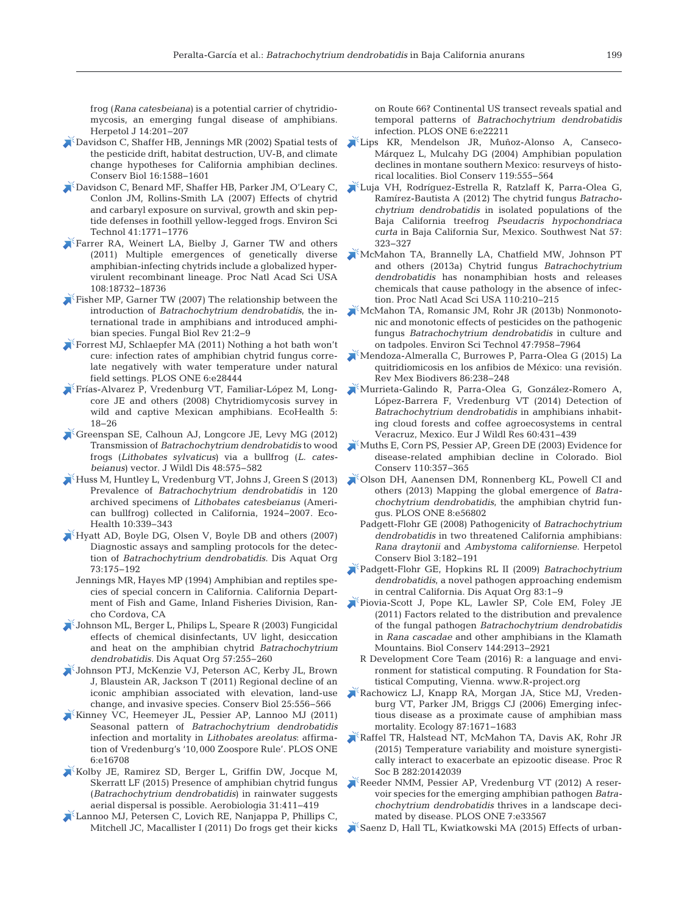frog (*Rana catesbeiana*) is a potential carrier of chytridio mycosis, an emerging fungal disease of amphibians. Herpetol J 14:201-207

- [Davidson C, Shaffer HB, Jennings MR \(2002\) Spatial tests of](https://doi.org/10.1046/j.1523-1739.2002.01030.x) the pesticide drift, habitat destruction, UV-B, and climate change hypotheses for California amphibian declines. Conserv Biol 16: 1588−1601
- [Davidson C, Benard MF, Shaffer HB, Parker JM, O'Leary C,](https://doi.org/10.1021/es0611947) Conlon JM, Rollins-Smith LA (2007) Effects of chytrid and carbaryl exposure on survival, growth and skin peptide defenses in foothill yellow-legged frogs. Environ Sci Technol 41: 1771−1776
- [Farrer RA, Weinert LA, Bielby J, Garner TW and others](https://doi.org/10.1073/pnas.1111915108) (2011) Multiple emergences of genetically diverse amphibian-infecting chytrids include a globalized hypervirulent recombinant lineage. Proc Natl Acad Sci USA 108: 18732−18736
- [Fisher MP, Garner TW \(2007\) The relationship between the](https://doi.org/10.1016/j.fbr.2007.02.002) introduction of *Batrachochytrium dendrobatidis*, the international trade in amphibians and introduced amphibian species. Fungal Biol Rev 21:2−9
- [Forrest MJ, Schlaepfer MA \(2011\) Nothing a hot bath won't](https://doi.org/10.1371/journal.pone.0028444) cure: infection rates of amphibian chytrid fungus correlate negatively with water temperature under natural field settings. PLOS ONE 6:e28444
- [Frías-Alvarez P, Vredenburg VT, Familiar-López M, Long](https://doi.org/10.1007/s10393-008-0155-3)core JE and others (2008) Chytridiomycosis survey in wild and captive Mexican amphibians. EcoHealth 5: 18−26
- [Greenspan SE, Calhoun AJ, Longcore JE, Levy MG \(2012\)](https://doi.org/10.7589/0090-3558-48.3.575) Transmission of *Batrachochytrium dendrobatidis* to wood frogs (*Lithobates sylvaticus*) via a bullfrog (*L. catesbeianus*) vector. J Wildl Dis 48:575−582
- [Huss M, Huntley L, Vredenburg VT, Johns J, Green S \(2013\)](https://doi.org/10.1007/s10393-013-0895-6) Prevalence of *Batrachochytrium dendrobatidis* in 120 archived specimens of *Lithobates catesbeianus* (American bullfrog) collected in California, 1924−2007. Eco-Health 10:339-343
- [Hyatt AD, Boyle DG, Olsen V, Boyle DB and others \(2007\)](https://doi.org/10.3354/dao073175) Diagnostic assays and sampling protocols for the detection of *Batrachochytrium dendrobatidis.* Dis Aquat Org 73: 175−192
	- Jennings MR, Hayes MP (1994) Amphibian and reptiles species of special concern in California. California Department of Fish and Game, Inland Fisheries Division, Rancho Cordova, CA
- [Johnson ML, Berger L, Philips L, Speare R \(2003\) Fungicidal](https://doi.org/10.3354/dao057255) effects of chemical disinfectants, UV light, desiccation and heat on the amphibian chytrid *Batrachochytrium dendrobatidis.* Dis Aquat Org 57: 255−260
- [Johnson PTJ, McKenzie VJ, Peterson AC, Kerby JL, Brown](https://doi.org/10.1111/j.1523-1739.2010.01645.x) J, Blaustein AR, Jackson T (2011) Regional decline of an iconic amphibian associated with elevation, land-use change, and invasive species. Conserv Biol 25:556-566
- [Kinney VC, Heemeyer JL, Pessier AP, Lannoo MJ \(2011\)](https://doi.org/10.1371/journal.pone.0016708) Seasonal pattern of *Batrachochytrium dendrobatidis* infection and mortality in *Lithobates areolatus*: affirmation of Vredenburg's '10,000 Zoospore Rule'. PLOS ONE 6: e16708
- [Kolby JE, Ramirez SD, Berger L, Griffin DW, Jocque M,](https://doi.org/10.1007/s10453-015-9374-6) Skerratt LF (2015) Presence of amphibian chytrid fungus (*Batrachochytrium dendrobatidis*) in rainwater suggests aerial dispersal is possible. Aerobiologia 31: 411−419
- [Lannoo MJ, Petersen C, Lovich RE, Nanjappa P, Phillips C,](https://doi.org/10.1371/journal.pone.0022211) Mitchell JC, Macallister I (2011) Do frogs get their kicks

on Route 66? Continental US transect reveals spatial and temporal patterns of *Batrachochytrium dendrobatidis* infection. PLOS ONE 6:e22211

- [Lips KR, Mendelson JR, Muñoz-Alonso A, Canseco-](https://doi.org/10.1016/j.biocon.2004.01.017)Márquez L, Mulcahy DG (2004) Amphibian population declines in montane southern Mexico: resurveys of historical localities. Biol Conserv 119:555-564
- [Luja VH, Rodríguez-Estrella R, Ratzlaff K, Parra-Olea G,](https://doi.org/10.1894/0038-4909-57.3.323) Ramírez-Bautista A (2012) The chytrid fungus *Batracho chytrium dendrobatidis* in isolated populations of the Baja California treefrog *Pseudacris hypochondriaca curta* in Baja California Sur, Mexico. Southwest Nat 57: 323−327
- [McMahon TA, Brannelly LA, Chatfield MW, Johnson PT](https://doi.org/10.1073/pnas.1200592110) and others (2013a) Chytrid fungus *Batrachochytrium dendrobatidis* has nonamphibian hosts and releases chemicals that cause pathology in the absence of infection. Proc Natl Acad Sci USA 110:210−215
- [McMahon TA, Romansic JM, Rohr JR \(2013b\) Nonmonoto](https://doi.org/10.1021/es401725s)nic and monotonic effects of pesticides on the pathogenic fungus *Batrachochytrium dendrobatidis* in culture and on tadpoles. Environ Sci Technol 47: 7958−7964
- [Mendoza-Almeralla C, Burrowes P, Parra-Olea G \(2015\) La](https://doi.org/10.7550/rmb.42588) quitridiomicosis en los anfibios de México: una revisión. Rev Mex Biodivers 86:238-248
- [Murrieta-Galindo R, Parra-Olea G, González-Romero A,](https://doi.org/10.1007/s10344-014-0800-9) López-Barrera F, Vredenburg VT (2014) Detection of *Batrachochytrium dendrobatidis* in amphibians inhabiting cloud forests and coffee agroecosystems in central Veracruz, Mexico. Eur J Wildl Res 60: 431−439
- [Muths E, Corn PS, Pessier AP, Green DE \(2003\) Evidence for](https://doi.org/10.1016/S0006-3207(02)00239-2) disease-related amphibian decline in Colorado. Biol Conserv 110:357-365
- [Olson DH, Aanensen DM, Ronnenberg KL, Powell CI and](https://doi.org/10.1371/journal.pone.0056802) others (2013) Mapping the global emergence of *Batrachochytrium dendrobatidis*, the amphibian chytrid fungus. PLOS ONE 8:e56802
	- Padgett-Flohr GE (2008) Pathogenicity of *Batrachochytrium dendrobatidis* in two threatened California amphibians: *Rana draytonii* and *Ambystoma californiense.* Herpetol Conserv Biol 3: 182−191
- [Padgett-Flohr GE, Hopkins RL II \(2009\)](https://doi.org/10.3354/dao02003) *Batrachochytrium dendrobatidis*, a novel pathogen approaching endemism in central California. Dis Aquat Org 83: 1−9
- [Piovia-Scott J, Pope KL, Lawler SP, Cole EM, Foley JE](https://doi.org/10.1016/j.biocon.2011.08.008) (2011) Factors related to the distribution and prevalence of the fungal pathogen *Batrachochytrium dendrobatidis* in *Rana cascadae* and other amphibians in the Klamath Mountains. Biol Conserv 144: 2913−2921
	- R Development Core Team (2016) R: a language and environment for statistical computing. R Foundation for Statistical Computing, Vienna. www.R-project.org
- [Rachowicz LJ, Knapp RA, Morgan JA, Stice MJ, Vreden](https://doi.org/10.1890/0012-9658(2006)87[1671%3AEIDAAP]2.0.CO%3B2)burg VT, Parker JM, Briggs CJ (2006) Emerging infectious disease as a proximate cause of amphibian mass mortality. Ecology 87: 1671−1683
- [Raffel TR, Halstead NT, McMahon TA, Davis AK, Rohr JR](https://doi.org/10.1098/rspb.2014.2039) (2015) Temperature variability and moisture synergistically interact to exacerbate an epizootic disease. Proc R Soc B 282:20142039
- [Reeder NMM, Pessier AP, Vredenburg VT \(2012\) A reser](https://doi.org/10.1371/journal.pone.0033567)voir species for the emerging amphibian pathogen *Batrachochytrium dendrobatidis* thrives in a landscape decimated by disease. PLOS ONE 7:e33567
- [Saenz D, Hall TL, Kwiatkowski MA \(2015\) Effects of urban-](https://doi.org/10.1007/s11252-014-0398-4)